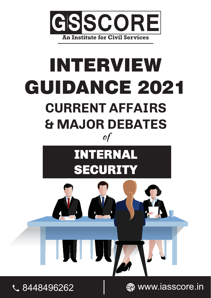

# INTERVIEW GUIDANCE 2021 **CURRENT AFFAIRS & MAJOR DEBATES** of







**€** 8448496262 <del>Management</del> C 8448496262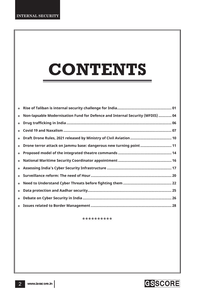# **CONTENTS**

| $\bullet$ | Non-lapsable Modernisation Fund for Defence and Internal Security (MFDIS)  04 |
|-----------|-------------------------------------------------------------------------------|
| $\bullet$ |                                                                               |
| $\bullet$ |                                                                               |
| $\bullet$ |                                                                               |
| $\bullet$ | Drone terror attack on Jammu base: dangerous new turning point 11             |
| $\bullet$ |                                                                               |
| $\bullet$ |                                                                               |
| $\bullet$ |                                                                               |
| $\bullet$ |                                                                               |
| $\bullet$ |                                                                               |
| $\bullet$ |                                                                               |
| $\bullet$ |                                                                               |
|           |                                                                               |

\*\*\*\*\*\*\*\*\*\*

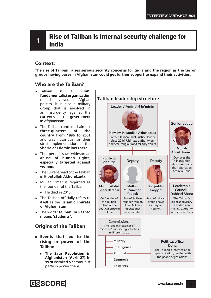## **1 Rise of Taliban is internal security challenge for** India

## **Context:**

**The rise of Taliban raises serious security concerns for India and the region as the terror groups having bases in Afghanistan could get further support to expand their activities.**

## **Who are the Taliban?**

- Taliban is a **Sunni fundamentalist organisation**  that is involved in Afghan politics. It is also a military group that is involved in an insurgency against the currently elected government in Afghanistan.
- The Taliban controlled almost **three-quarters of the country from 1996 to 2001** and was notorious for their strict implementation of the **Sharia or Islamic law there.**
- The period saw widespread **abuse of human rights, especially targeted against women.**
- The current head of the Taliban is **Hibatullah Akhundzada.**
- Mullah Omar is regarded as the founder of the Taliban.
	- $\blacktriangleright$  He died in 2013.
- The Taliban officially refers to itself as the '**Islamic Emirate of Afghanistan'.**
- The word **'Taliban' in Pashto means 'students'.**

## **Origins of the Taliban**

- **Events that led to the rising in power of the Taliban-**
	- ! **The Saur Revolution in Afghanistan (April 27) in 1978** installed a communist party in power there.



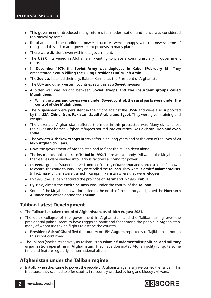- ! This government introduced many reforms for modernisation and hence was considered too radical by some.
- Rural areas and the traditional power structures were unhappy with the new scheme of things and this led to anti-government protests in many places.
- ! There were divisions even within the government.
- ! The **USSR** intervened in Afghanistan wanting to place a communist ally in government there.
- ! In **December 1979,** the **Soviet Army was deployed in Kabul (February 15)**. They orchestrated a **coup killing the ruling President Hafizullah Amin.**
- ! The **Soviets** installed their ally, Babrak Karmal as the President of Afghanistan.
- ! The USA and other western countries saw this as a **Soviet invasion.**
- ! A bitter war was fought between **Soviet troops and the insurgent groups called Mujahideen.**
	- While the **cities and towns were under Soviet control**, the **rural parts were under the control of the Mujahideen.**
- $\triangleright$  The Mujahideen were persistent in their fight against the USSR and were also supported by the **USA, China, Iran, Pakistan, Saudi Arabia and Egypt.** They were given training and weapons.
- ! The citizens of Afghanistan suffered the most in this protracted war. Many civilians lost their lives and homes. Afghan refugees poured into countries like **Pakistan, Iran and even India.**
- ! The **Soviets withdrew troops in 1989** after nine long years and at the cost of the lives of **20 lakh Afghan civilians.**
- $\triangleright$  Now, the government of Afghanistan had to fight the Mujahideen alone.
- ! The insurgents took control of **Kabul in 1992.** There was a bloody civil war as the Mujahideen themselves were divided into various factions all vying for power.
- ! **In 1994,** a group of students seized control of the city of **Kandahar** and started a battle for power to control the entire country. They were called the **Taliban.** They were **Islamic fundamentalis**ts. In fact, many of them were trained in camps in Pakistan where they were refugees.
- ! **In 1995,** the Taliban captured the province of **Herat** and in **1996, Kabul.**
- ! **By 1998,** almost the **entire country** was under the control of the **Taliban.**
- Some of the Mujahideen warlords fled to the north of the country and joined the **Northern Alliance** who were fighting the **Taliban.**

## **Taliban Latest Development**

- The Taliban has taken control of **Afghanistan, as of 16th August 2021.**
- The quick collapse of the government in Afghanistan, and the Taliban taking over the presidential palace, seem to have triggered panic and fear among the people in Afghanistan, many of whom are taking flights to escape the country.
	- **President Ashraf Ghani** fled the country on 15<sup>th</sup> August, reportedly to Tajikistan, although this is not confirmed.
- The Taliban (spelt alternatively as Taliban) is an **Islamic fundamentalist political and military organisation operating in Afghanistan.** They have dominated Afghan polity for quite some time and feature regularly in international affairs.

## **Afghanistan under the Taliban regime**

 Initially, when they came to power, the people of Afghanistan generally welcomed the Taliban. This is because they seemed to offer stability in a country wracked by long and bloody civil wars.

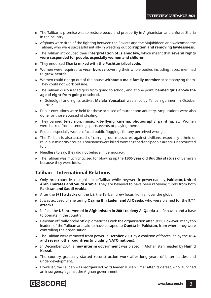- The Taliban's promise was to restore peace and prosperity in Afghanistan and enforce Sharia in the country.
- Afghans were tired of the fighting between the Soviets and the Mujahideen and welcomed the Taliban, who were successful initially in weeding out **corruption and removing lawlessness.**
- The Taliban introduced their **interpretation of Islamic law,** which meant that **several rights were suspended for people, especially women and children.**
- They endorsed **Sharia mixed with the Pashtun tribal code.**
- Women were required to **wear burqas** covering their whole bodies including faces; men had to **grow beards.**
- Women could not go out of the house **without a male family member** accompanying them. They could not work outside.
- The Taliban discouraged girls from going to school, and at one point, **banned girls above the age of eight from going to school.** 
	- ! Schoolgirl and rights activist **Malala Yousafzai** was shot by Taliban gunmen in October 2012.
- Public executions were held for those accused of murder and adultery. Amputations were also done for those accused of stealing.
- They banned **television, music, kite-fl ying, cinema, photography, painting,** etc. Women were barred from attending sports events or playing them.
- People, especially women, faced public floggings for any perceived wrongs.
- The Taliban is also accused of carrying out massacres against civilians, especially ethnic or religious minority groups. Thousands were killed, women raped and people are still unaccounted for.
- Needless to say, they did not believe in democracy.
- The Taliban was much criticised for blowing up the **1500-year old Buddha statues** of Bamiyan because they were idols.

## **Taliban – International Relations**

- Only three countries recognised the Taliban while they were in power namely, **Pakistan, United Arab Emirates and Saudi Arabia**. They are believed to have been receiving funds from both **Pakistan and Saudi Arabia.**
- After the **9/11 attacks** on the US, the Taliban drew focus from all over the globe.
- It was accused of sheltering **Osama Bin Laden and Al Qaeda,** who were blamed for the **9/11 attacks.**
- In fact, the **US intervened in Afghanistan in 2001 to deny Al Qaeda** a safe haven and a base to operate in the country.
- $\bullet$  Pakistan officially broke off diplomatic ties with the organisation after 9/11. However, many top leaders of the Taliban are said to have escaped to **Quetta in Pakistan**, from where they were controlling the organisation.
- The Taliban were removed from power in **October 2001** by a coalition of forces led by the **USA and several other countries (including NATO nations).**
- In December 2001, a **new interim government** was placed in Afghanistan headed by **Hamid Karzai.**
- The country gradually started reconstruction work after long years of bitter battles and underdevelopment.
- However, the Taliban was reorganised by its leader Mullah Omar after its defeat, who launched an insurgency against the Afghan government.

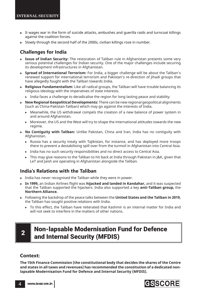- It wages war in the form of suicide attacks, ambushes and guerilla raids and turncoat killings against the coalition forces.
- Slowly through the second half of the 2000s, civilian killings rose in number.

## **Challenges for India**

- **Issue of Indian Security:** The restoration of Taliban rule in Afghanistan presents some very serious potential challenges for Indian security. One of the major challenges include securing its development infrastructures in Afghanistan.
- **Spread of International Terrorism:** For India, a bigger challenge will be about the Taliban's renewed support for international terrorism and Pakistan's re-direction of jihadi groups that have allegedly fought with the Taliban towards India.
- **Religious Fundamentalism:** Like all radical groups, the Taliban will have trouble balancing its religious ideology with the imperatives of state interests.
	- $\triangleright$  India faces a challenge to deradicalise the region for long lasting peace and stability.
- **New Regional Geopolitical Developments:** There can be new regional geopolitical alignments (such as China-Pakistan-Taliban) which may go against the interests of India.
	- $\triangleright$  Meanwhile, the US withdrawal compels the creation of a new balance of power system in and around Afghanistan.
	- ! Moreover, the US and the West will try to shape the international attitudes towards the new regime.
- **No Contiguity with Taliban:** Unlike Pakistan, China and Iran, India has no contiguity with Afghanistan.
	- $\triangleright$  Russia has a security treaty with Tajikistan, for instance, and has deployed more troops there to prevent a destabilising spill over from the turmoil in Afghanistan into Central Asia.
	- ! India has no such security responsibilities and no direct access to Central Asia.
	- $\triangleright$  This may give reasons to the Taliban to hit back at India through Pakistan in J&K, given that LeT and Jaish are operating in Afghanistan alongside the Taliban.

## **India's Relations with the Taliban**

- India has never recognised the Taliban while they were in power.
- **In 1999,** an Indian Airlines flight was **hijacked and landed in Kandahar**, and it was suspected that the Taliban supported the hijackers. India also supported a key **anti-Taliban group,** the **Northern Alliance.**
- Following the backdrop of the peace talks between the **United States and the Taliban in 2019,**  the Taliban has sought positive relations with India.
	- $\triangleright$  To this effect, the Taliban have reiterated that Kashmir is an internal matter for India and will not seek to interfere in the matters of other nations.

# $\mathbf{2}$  Non-lapsable Modernisation Fund for Defence and Internal Security (MFDIS)

## **Context:**

**The 15th Finance Commission (the constitutional body that decides the shares of the Centre and states in all taxes and revenues) has recommended the constitution of a dedicated nonlapsable Modernisation Fund for Defence and Internal Security (MFDIS).**

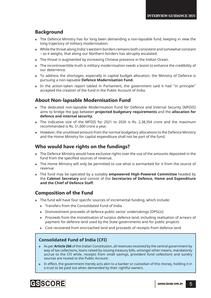## **Background**

- The Defence Ministry has for long been demanding a non-lapsable fund, keeping in view the long trajectory of military modernisation.
- While the threat along India's western borders remains both consistent and somewhat constant – as it weighs, that along our Northern borders has abruptly escalated.
- The threat is augmented by increasing Chinese presence in the Indian Ocean.
- The incontrovertible truth is military modernisation needs a boost to enhance the credibility of our deterrence.
- To address the shortages, especially in capital budget allocation, the Ministry of Defence is pursuing a non-lapsable **Defence Modernisation Fund.**
- In the action-taken report tabled in Parliament, the government said it had "in principle" accepted the creation of the fund in the Public Account of India.

## **About Non-lapsable Modernisation Fund**

- The dedicated non-lapsable Modernisation Fund for Defence and Internal Security (MFDIS) aims to bridge the gap between **projected budgetary requirements** and the **allocation for defence and internal security**.
- The indicative size of the MFDIS for 2021 to 2026 is Rs. 2,38,354 crore and the maximum recommended is Rs. 51,000 crore a year.
- However, the unutilised amount from the normal budgetary allocations to the Defence Ministry and the Home Ministry for capital expenditure shall not be part of the fund.

## **Who would have rights on the fundings?**

- The Defence Ministry would have exclusive rights over the use of the amounts deposited in the fund from the specified sources of revenue.
- The Home Ministry will only be permitted to use what is earmarked for it from the source of revenue.
- The fund may be operated by a suitably **empowered High-Powered Committee** headed by the **Cabinet Secretary** and consist of the **Secretaries of Defence, Home and Expenditure and the Chief of Defence Staff.**

## **Composition of the Fund**

- The fund will have four specific sources of incremental funding, which include:
	- $\triangleright$  Transfers from the Consolidated Fund of India
	- ! Disinvestment proceeds of defence public sector undertakings (DPSUs)
	- $\triangleright$  Proceeds from the monetisation of surplus defence land, including realisation of arrears of payment for defence land used by the State governments and for public projects
	- $\triangleright$  Cost recovered from encroached land and proceeds of receipts from defence land

## **Consolidated Fund of India (CFI)**

- As per **Article 266** of the Indian Constitution, all revenues received by the central government by way of tax collections, loans raised by issuing treasury bills, amongst other means, mandatorily accrue to the CFI while, receipts from small savings, provident fund collections and sundry sources are routed to the Public Account.
- In effect, the government merely acts akin to a banker or custodian of this money, holding it in a trust to be paid out when demanded by their rightful owners.

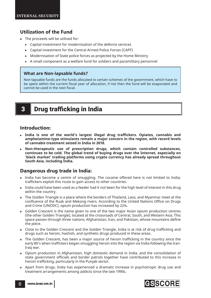## **Utilization of the Fund**

- The proceeds will be utilised for:
	- $\triangleright$  Capital investment for modernisation of the defence services
	- ! Capital investment for the Central Armed Police Forces (CAPF)
	- ! Modernisation of State police forces as projected by the Home Ministry
	- $\triangleright$  A small component as a welfare fund for soldiers and paramilitary personnel

## **What are Non-lapsable funds?**

Non-lapsable funds are the funds allocated to certain schemes of the government, which have to be spent within the current fiscal year of allocation, if not then the fund will be evaporated and cannot be used in the next fiscal.

# **3** Drug trafficking in India

## **Introduction:**

- **India is one of the world's largest illegal drug traffi ckers. Opiates, cannabis and amphetamine-type stimulants remain a major concern in the region, with record levels of cannabis treatment seized in India in 2018.**
- **Non-therapeutic use of prescription drugs, which contain controlled substances, continues to be cold. The global trend of buying drugs over the Internet, especially on 'black market' trading platforms using crypto currency has already spread throughout South Asia, including India.**

## **Dangerous drug trade in India:**

- India has become a centre of smuggling. The cocaine offered here is not limited to India; traffickers exploit this route to gain access to other countries.
- India could have been used as a feeder had it not been for the high level of interest in this drug within the country.
- The Golden Triangle is a place where the borders of Thailand, Laos, and Myanmar meet at the confluence of the Ruak and Mekong rivers. According to the United Nations Office on Drugs and Crime (UNODC), opium production has increased by 22%.
- Golden Crescent is the name given to one of the two major Asian opium production centres (the other Golden Triangle), located at the crossroads of Central, South, and Western Asia. This space passes through three nations, Afghanistan, Iran, and Pakistan, whose mountains define the piece.
- Close to the Golden Crescent and the Golden Triangle, India is at risk of drug trafficking and drugs such as heroin, hashish, and synthetic drugs produced in these areas.
- The Golden Crescent, has been a major source of heroin trafficking in the country since the early 80's when traffickers began smuggling heroin into the region via India following the Iran-Iraq war.
- Opium production in Afghanistan, high domestic demand in India, and the consolidation of state government officials and border patrols together have contributed to this increase in heroin trafficking, particularly in the Punjab sector.
- Apart from drugs, India has experienced a dramatic increase in psychotropic drug use and treatment arrangements among addicts since the late 1990s.

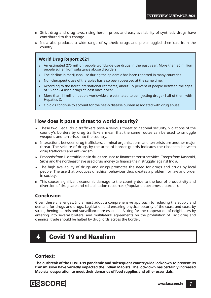- Strict drug and drug laws, rising heroin prices and easy availability of synthetic drugs have contributed to this change.
- India also produces a wide range of synthetic drugs and pre-smuggled chemicals from the country.

## **World Drug Report 2021**

- An estimated 275 million people worldwide use drugs in the past year. More than 36 million people suffer from substance abuse disorders.
- The decline in marijuana use during the epidemic has been reported in many countries.
- Non-therapeutic use of therapies has also been observed at the same time.
- According to the latest international estimates, about 5.5 percent of people between the ages of 15 and 64 used drugs at least once a year.
- More than 11 million people worldwide are estimated to be injecting drugs half of them with Hepatitis C.
- Opioids continue to account for the heavy disease burden associated with drug abuse.

## **How does it pose a threat to world security?**

- These two illegal drug traffickers pose a serious threat to national security. Violations of the country's borders by drug traffickers mean that the same routes can be used to smuggle weapons and terrorists into the country.
- Interactions between drug traffickers, criminal organizations, and terrorists are another major threat. The seizure of drugs by the arms of border guards indicates the closeness between drug traffickers and anti-racism.
- Proceeds from illicit trafficking in drugs are used to finance terrorist activities. Troops from Kashmiri, Sikhs and the northeast have used drug money to finance their 'struggle' against India.
- The high availability of drugs and drugs promotes the need for drugs and drugs by local people. The use that produces unethical behaviour thus creates a problem for law and order in society.
- This causes significant economic damage to the country due to the loss of productivity and diversion of drug care and rehabilitation resources (Population becomes a burden).

## **Conclusion**

Given these challenges, India must adopt a comprehensive approach to reducing the supply and demand for drugs and drugs. Legislation and ensuring physical security of the coast and coast by strengthening patrols and surveillance are essential. Asking for the cooperation of neighbours by entering into several bilateral and multilateral agreements on the prohibition of illicit drug and chemical trade should be halted by drug lords across the border.

# 4 Covid 19 and Naxalism

## **Context:**

**The outbreak of the COVID-19 pandemic and subsequent countrywide lockdown to prevent its transmission have variedly impacted the Indian Maoists. The lockdown has certainly increased Maoists' desperation to meet their demands of food supplies and other essentials.**

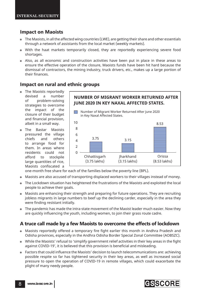## **Impact on Maoists**

- The Maoists, in all the affected wing countries (LWE), are getting their share and other essentials through a network of assistants from the local market (weekly markets).
- With the haat markets temporarily closed, they are reportedly experiencing severe food shortages.
- Also, as all economic and construction activities have been put in place in these areas to ensure the effective operation of the closure, Maoists funds have been hit hard because the dismissal of contractors, the mining industry, truck drivers, etc., makes up a large portion of their finances.

## **Impact on rural and ethnic groups**

- The Maoists reportedly devised a number of problem-solving strategies to overcome the impact of the closure of their budget and financial provision, albeit in a small way.
- The Bastar Maoists pressured the village chiefs and others to arrange food for them. In areas where residents could not afford to stockpile large quantities of rice, Maoists confiscated a



one-month free share for each of the families below the poverty line (BPL).

- Maoists are also accused of transporting displaced workers to their villages instead of money.
- The Lockdown situation has heightened the frustrations of the Maoists and exploited the local people to achieve their goals.
- Maoists are enhancing their strength and preparing for future operations. They are recruiting jobless migrants in large numbers to beef up the declining carder, especially in the area they were finding resistant initially.
- The pandemic has made the intra-state movement of the Maoist leader much easier. Now they are quickly influencing the youth, including women, to join their grass route cadre.

## A truce call made by a few Maoists to overcome the effects of lockdown

- Maoists reportedly offered a temporary fire fight earlier this month in Andhra Pradesh and Odisha provinces, especially in the Andhra Odisha Border Special Zonal Committee (AOBSZC).
- o While the Maoists' refusal to 'simplify government relief activities in their key areas in the fight against COVID-19', it is believed that this provision is beneficial and misleading.
- o Factors that could influence the Maoists' decision to launch telecommunications are: achieving possible respite so far has tightened security in their key areas, as well as increased social pressure to open the operation of COVID-19 in remote villages, which could exacerbate the plight of many needy people.

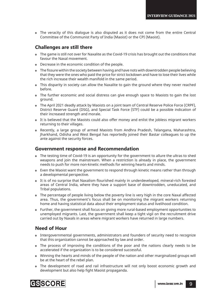The veracity of this dialogue is also disputed as it does not come from the entire Central Committee of the Communist Party of India (Maoist) or the CPI (Maoist).

## **Challenges are still there**

- The game is still not over for Naxalite as the Covid-19 crisis has brought out the conditions that favour the Naxal movement.
- Decrease in the economic condition of the people.
- The fissure within the society between having and have nots with downtrodden people believing that they were the ones who paid the price for strict lockdown and have to lose their lives while the rich increase their wealth manifold in the same period.
- This disparity in society can allow the Naxalite to gain the ground where they never reached before.
- The further economic and social distress can give enough space to Maoists to gain the lost ground.
- The April 2021 deadly attack by Maoists on a joint team of Central Reserve Police Force (CRPF), District Reserve Guard (DSG), and Special Task Force (STF) could be a possible indication of their increased strength and morale.
- It is believed that the Maoists could also offer money and enlist the jobless migrant workers returning to their villages.
- Recently, a large group of armed Maoists from Andhra Pradesh, Telangana, Maharashtra, Jharkhand, Odisha and West Bengal has reportedly joined their Bastar colleagues to up the ante against the security forces.

## **Government response and Recommendation**

- The testing time of Covid-19 is an opportunity for the government to allure the ultras to shed weapons and join the mainstream. When a restriction is already in place, the government needs to push for more non-kinetic methods for winning hearts and minds.
- Even the Maoist want the government to respond through kinetic means rather than through a developmental perspective.
- It is of no surprise that Naxalism flourished mainly in underdeveloped, mineral-rich forested areas of Central India, where they have a support base of downtrodden, uneducated, and Tribal populations.
- The percentage of people living below the poverty line is very high in the core Naxal affected area. Thus, the government's focus shall be on monitoring the migrant workers returning home and having statistical data about their employment status and livelihood condition.
- Further, the government shall focus on giving more rural-based employment opportunities to unemployed migrants. Last, the government shall keep a tight vigil on the recruitment drive carried out by Naxals in areas where migrant workers have returned in large numbers.

## **Need of Hour**

- Intergovernmental governments, administrators and founders of security need to recognize that this organization cannot be approached by law and order.
- The process of improving the conditions of the poor and the nations clearly needs to be accelerated if the organization is to be considered successful.
- Winning the hearts and minds of the people of the nation and other marginalized groups will be at the heart of the rebel plan.
- The development of road and rail infrastructure will not only boost economic growth and development but also help fight Maoist propaganda.

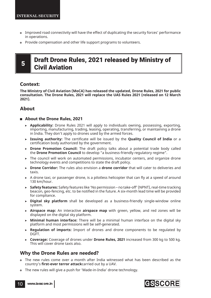- Improved road connectivity will have the effect of duplicating the security forces' performance in operations.
- Provide compensation and other life support programs to volunteers.

# **5 Draft Drone Rules, 2021 released by Ministry of** Civil Aviation

## **Context:**

**The Ministry of Civil Aviation (MoCA) has released the updated, Drone Rules, 2021 for public consultation. The Drone Rules, 2021 will replace the UAS Rules 2021 (released on 12 March 2021).**

## **About**

## **About the Drone Rules, 2021**

- ! **Applicability:** Drone Rules 2021 will apply to individuals owning, possessing, exporting, importing, manufacturing, trading, leasing, operating, transferring, or maintaining a drone in India. They don't apply to drones used by the armed forces.
- **Example 2 Issuing authority:** The certificate will be issued by the **Quality Council of India** or a certification body authorized by the government.
- **EX Drone Promotion Council:** The draft policy talks about a potential trade body called the **Drone Promotion Council** to develop "a business-friendly regulatory regime".
- The council will work on automated permissions, incubator centers, and organize drone technology events and competitions to state the draft policy.
- ! **Drone Corridor:** The rules also envision a **drone corridor** that will cater to deliveries and taxis.
- $\triangleright$  A drone taxi, or passenger drone, is a pilotless helicopter that can fly at a speed of around 130 km/hour.
- ! **Safety features:** Safety features like 'No permission no take-off' (NPNT), real-time tracking beacon, geo-fencing, etc. to be notified in the future. A six-month lead time will be provided for compliance.
- ! **Digital sky platform** shall be developed as a business-friendly single-window online system.
- ! **Airspace map:** An interactive **airspace map** with green, yellow, and red zones will be displayed on the digital sky platform.
- ! **Minimal human interface:** There will be a minimal human interface on the digital sky platform and most permissions will be self-generated.
- ! **Regulation of imports:** Import of drones and drone components to be regulated by DGFT.
- ! **Coverage:** Coverage of drones under **Drone Rules, 2021** increased from 300 kg to 500 kg. This will cover drone taxis also.

## **Why the Drone Rules are needed?**

- The new rules come over a month after India witnessed what has been described as the country's **first-ever terror attack** carried out by a UAV.
- The new rules will give a push for 'Made-in-India' drone technology.

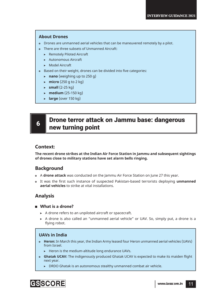## **About Drones**

- Drones are unmanned aerial vehicles that can be maneuvered remotely by a pilot.
- There are three subsets of Unmanned Aircraft:
	- **>** Remotely Piloted Aircraft
	- **EXECUTE: Autonomous Aircraft**
	- ! Model Aircraft
- Based on their weight, drones can be divided into five categories:
	- $\triangleright$  **nano** (weighing up to 250 g)
	- $\triangleright$  **micro** (250 g to 2 kg)
	- $\triangleright$  **small** (2-25 kg)
	- $\triangleright$  **medium** (25-150 kg)
	- **Large** (over 150 kg)

# 6 **Drone terror attack on Jammu base: dangerous** new turning point

## **Context:**

**The recent drone strikes at the Indian Air Force Station in Jammu and subsequent sightings of drones close to military stations have set alarm bells ringing.** 

## **Background**

- A **drone attack** was conducted on the Jammu Air Force Station on June 27 this year.
- It was the first such instance of suspected Pakistan-based terrorists deploying *unmanned* **aerial vehicles** to strike at vital installations.

## **Analysis**

## **What is a drone?**

- $\triangleright$  A drone refers to an unpiloted aircraft or spacecraft.
- ! A drone is also called an "unmanned aerial vehicle" or UAV. So, simply put, a drone is a flying robot.

## **UAVs in India**

- **Heron:** In March this year, the Indian Army leased four Heron unmanned aerial vehicles (UAVs) from Israel.
	- $\blacktriangleright$  Heron is the medium-altitude long endurance UAVs.
- **Ghatak UCAV:** The indigenously produced Ghatak UCAV is expected to make its maiden flight next year.
	- $\triangleright$  DRDO Ghatak is an autonomous stealthy unmanned combat air vehicle.

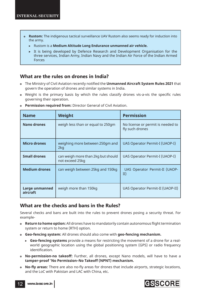- **Rustom:** The indigenous tactical surveillance UAV Rustom also seems ready for induction into the army.
	- ! Rustom is a **Medium Altitude Long Endurance unmanned air vehicle.**
	- $\triangleright$  It is being developed by Defence Research and Development Organisation for the three services, Indian Army, Indian Navy and the Indian Air Force of the Indian Armed Forces

## **What are the rules on drones in India?**

- **The Ministry of Civil Aviation recently notified the <b>Unmanned Aircraft System Rules 2021** that govern the operation of drones and similar systems in India.
- Weight is the primary basis by which the rules classify drones vis-a-vis the specific rules governing their operation.

| <b>Name</b>                | Weight                                                | <b>Permission</b>                                    |
|----------------------------|-------------------------------------------------------|------------------------------------------------------|
| <b>Nano drones</b>         | weigh less than or equal to 250gm                     | No license or permit is needed to<br>fly such drones |
| <b>Micro drones</b>        | weighing more between 250gm and<br>2kg                | UAS Operator Permit-I (UAOP-I)                       |
| <b>Small drones</b>        | can weigh more than 2kg but should<br>not exceed 25kg | UAS Operator Permit-I (UAOP-I)                       |
| <b>Medium drones</b>       | can weigh between 25kg and 150kg                      | UAS Operator Permit-II (UAOP-<br>II)                 |
| Large unmanned<br>aircraft | weigh more than 150kg                                 | UAS Operator Permit-II (UAOP-II)                     |

**Permission required from:** Director General of Civil Aviation.

## **What are the checks and bans in the Rules?**

Several checks and bans are built into the rules to prevent drones posing a security threat. For example-

- **Return to home option:** All drones have to mandatorily contain autonomous flight termination system or return to home (RTH) option.
- **Geo-fencing system:** All drones should also come with **geo-fencing mechanism.**
	- ! **Geo-fencing systems** provide a means for restricting the movement of a drone for a realworld geographic location using the global positioning system (GPS) or radio frequency identification.
- **No-permission-no takeoff:** Further, all drones, except Nano models, will have to have a **tamper-proof 'No Permission–No Takeoff (NPNT) mechanism.**
- **No-fly areas:** There are also no-fly areas for drones that include airports, strategic locations, and the LoC with Pakistan and LAC with China, etc.

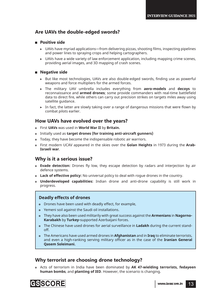## **Are UAVs the double-edged swords?**

## **Positive side**

- $\triangleright$  UAVs have myriad applications—from delivering pizzas, shooting films, inspecting pipelines and power lines to spraying crops and helping cartographers.
- $\triangleright$  UAVs have a wide variety of law enforcement application, including mapping crime scenes, providing aerial images, and 3D mapping of crash scenes.

## **Negative side**

- $\triangleright$  But like most technologies, UAVs are also double-edged swords, finding use as powerful weapons and force multipliers for the armed forces.
- ! The military UAV umbrella includes everything from **aero-models** and **decoys** to reconnaissance and **armed drones**; some provide commanders with real-time battlefield data to direct fire, while others can carry out precision strikes on targets miles away using satellite guidance.
- In fact, the latter are slowly taking over a range of dangerous missions that were flown by combat pilots earlier.

## **How UAVs have evolved over the years?**

- First **UAVs** was used in **World War II** by **Britain.**
- Initially used as **target drones (for training anti-aircraft gunners)**
- Today, they have become the indispensable robotic air warriors.
- First modern UCAV appeared in the skies over the **Golan Heights** in 1973 during the **Arab-Israeli war**.

## **Why is it a serious issue?**

- **Evade detection:** Drones fly low, they escape detection by radars and interjection by air defence systems.
- **Lack of effective policy:** No universal policy to deal with rogue drones in the country.
- **Underdeveloped capabilities:** Indian drone and anti-drone capability is still work in progress.

## **Deadly effects of drones**

- Drones have been used with deadly effect, for example,
- Yemeni soil against the Saudi oil installations.
- They have also been used militarily with great success against the **Armenians** in **Nagorno-Karabakh** by **Turkey-**supported Azerbaijani forces.
- The Chinese have used drones for aerial surveillance in **Ladakh** during the current standoff.
- The Americans have used armed drones in **Afghanistan** and in **Iraq** to eliminate terrorists, and even a high-ranking serving military officer as in the case of the **Iranian General Qasem Soleimani.**

## **Why terrorist are choosing drone technology?**

 Acts of terrorism in India have been dominated by **AK 47-wielding terrorists, fedayeen human bombs**, and **planting of IED**. However, the scenario is changing.

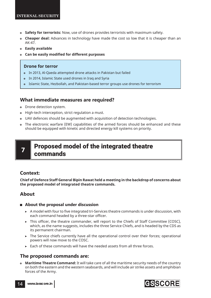- **Safety for terrorists:** Now, use of drones provides terrorists with maximum safety.
- **Cheaper deal:** Advances in technology have made the cost so low that it is cheaper than an AK-47.
- **Easily available**
- **Can be easily modified for different purposes**

## **Drone for terror**

- In 2013, Al-Qaeda attempted drone attacks in Pakistan but failed
- In 2014, Islamic State used drones in Iraq and Syria
- Islamic State, Hezbollah, and Pakistan-based terror groups use drones for terrorism

## **What immediate measures are required?**

- Drone detection system.
- $\bullet$  High-tech interception, strict regulation a must.
- UAV defences should be augmented with acquisition of detection technologies.
- The electronic warfare (EW) capabilities of the armed forces should be enhanced and these should be equipped with kinetic and directed energy kill systems on priority.

# Proposed model of the integrated theatre commands

## **Context:**

**Chief of Defence Staff General Bipin Rawat held a meeting in the backdrop of concerns about the proposed model of integrated theatre commands.**

## **About**

## **About the proposal under discussion**

- $\triangleright$  A model with four to five integrated tri-Services theatre commands is under discussion, with each command headed by a three-star officer.
- $\triangleright$  This officer, the theatre commander, will report to the Chiefs of Staff Committee (COSC), which, as the name suggests, includes the three Service Chiefs, and is headed by the CDS as its permanent chairman.
- $\triangleright$  The Service chiefs currently have all the operational control over their forces; operational powers will now move to the COSC.
- $\triangleright$  Each of these commands will have the needed assets from all three forces.

## **The proposed commands are:**

 **Maritime Theatre Command:** It will take care of all the maritime security needs of the country on both the eastern and the western seaboards, and will include air strike assets and amphibian forces of the Army.



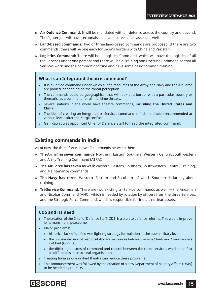- **Air Defence Command:** It will be mandated with air defence across the country and beyond. The fighter jets will have reconnaissance and surveillance assets as well.
- **Land-based commands:** Two or three land-based commands are proposed. If there are two commands, there will be one each for India's borders with China and Pakistan.
- **Logistics Command:** There will be a Logistics Command, which will have the logistics of all the Services under one person; and there will be a Training and Doctrine Command so that all Services work under a common doctrine and have some basic common training.

## **What is an Integrated theatre command?**

- It is a unified command under which all the resources of the Army, the Navy and the Air Force are pooled, depending on the threat perception.
- The commands could be geographical that will look at a border with a particular country or thematic, as a command for all maritime threats.
- Several nations in the world have theatre commands, **including the United States and China**.
- The idea of creating an integrated tri-Services command in India had been recommended at various levels after the Kargil conflict.
- Gen Rawat was appointed Chief of Defence Staff to head the integrated command.

## **Existing commands in India**

As of now, the three forces have 17 commands between them.

- **The Army has seven commands**: Northern, Eastern, Southern, Western, Central, Southwestern and Army Training Command (ATRAC).
- **The Air Force has seven as well:** Western, Eastern, Southern, Southwestern, Central, Training, and Maintenance commands.
- **The Navy has three**: Western, Eastern and Southern, of which Southern is largely about training.
- **Tri-Service Command**: There are two existing tri-Service commands as well the Andaman and Nicobar Command (ANC), which is headed by rotation by officers from the three Services, and the Strategic Force Command, which is responsible for India's nuclear assets.

## **CDS and its need**

- The creation of the Chief of Defence Staff (CDS) is a start to defence reforms. This would improve joint manship in peacetime.
- Major problems:
	- $\triangleright$  historical lack of unified war fighting strategy formulation at the apex military level
	- $\triangleright$  the unclear division of responsibility and resources between service Chiefs and Commanders in-Chief (C-in-Cs)
	- $\triangleright$  the differing natures of command and control between the three services, which manifest as differences in structural organisations.
- Treating India as one unified theatre can reduce these problems.
- This announcement was followed by the creation of a new Department of Military Affairs (DMA) to be headed by the CDS.

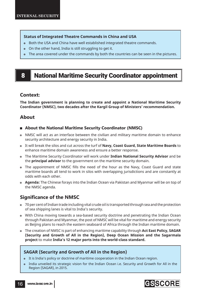## **Status of Integrated Theatre Commands in China and USA**

- Both the USA and China have well established integrated theatre commands.
- On the other hand, India is still struggling to get it.
- The area covered under the commands by both the countries can be seen in the pictures.

# 8 National Maritime Security Coordinator appointment

## **Context:**

**The Indian government is planning to create and appoint a National Maritime Security Coordinator (NMSC), two decades after the Kargil Group of Ministers' recommendation.**

## **About**

- **About the National Maritime Security Coordinator (NMSC)**
- NMSC will act as an interface between the civilian and military maritime domain to enhance security architecture and energy security in India.
- It will break the silos and cut across the turf of **Navy, Coast Guard, State Maritime Boards** to enhance maritime domain awareness and ensure a better response.
- The Maritime Security Coordinator will work under **Indian National Security Advisor** and be the **principal advisor** to the government on the maritime security domain.
- The appointment of NMSC fills the need of the hour as the Navy, Coast Guard and state maritime boards all tend to work in silos with overlapping jurisdictions and are constantly at odds with each other.
- **Agenda:** The Chinese forays into the Indian Ocean via Pakistan and Myanmar will be on top of the NMSC agenda.

## **Significance of the NMSC**

- 70 per cent of Indian trade including vital crude oil is transported through sea and the protection of sea shipping lanes is vital to India's security.
- With China moving towards a sea-based security doctrine and penetrating the Indian Ocean through Pakistan and Myanmar, the post of NMSC will be vital for maritime and energy security as Beijing plans to reach the eastern seaboard of Africa through the Indian maritime domain.
- The creation of NMSC is part of enhancing maritime capability through **Act East Policy, SAGAR (Security and Growth of All in the Region), Deep Ocean Mission and the Sagarmala project** to make **India's 12 major ports into the world-class standard.**

## **SAGAR (Security and Growth of All in the Region)**

- It is India's policy or doctrine of maritime cooperation in the Indian Ocean region.
- India unveiled its strategic vision for the Indian Ocean i.e. Security and Growth for All in the Region (SAGAR), in 2015.

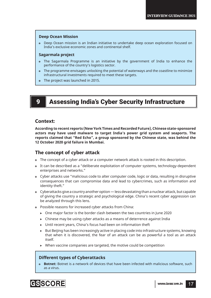### **Deep Ocean Mission**

 Deep Ocean mission is an Indian initiative to undertake deep ocean exploration focused on India's exclusive economic zones and continental shelf.

## **Sagarmala project**

- The Sagarmala Programme is an initiative by the government of India to enhance the performance of the country's logistics sector.
- The programme envisages unlocking the potential of waterways and the coastline to minimize infrastructural investments required to meet these targets.
- The project was launched in 2015.

## 9 Assessing India's Cyber Security Infrastructure

## **Context:**

**According to recent reports (New York Times and Recorded Future), Chinese state-sponsored actors may have used malware to target India's power grid system and seaports. The reports claimed that "Red Echo", a group sponsored by the Chinese state, was behind the 12 October 2020 grid failure in Mumbai.** 

## **The concept of cyber attack**

- The concept of a cyber attack or a computer network attack is rooted in this description.
- It can be described as a "deliberate exploitation of computer systems, technology-dependent enterprises and networks."
- Cyber attacks use "malicious code to alter computer code, logic or data, resulting in disruptive consequences that can compromise data and lead to cybercrimes, such as information and identity theft."
- Cyberattacks give a country another option less devastating than a nuclear attack, but capable of giving the country a strategic and psychological edge. China's recent cyber aggression can be analyzed through this lens.
- Possible reasons for increased cyber attacks from China:
	- $\triangleright$  One major factor is the border clash between the two countries in June 2020
	- $\triangleright$  Chinese may be using cyber attacks as a means of deterrence against India
	- ! Until recent years, China's focus had been on information theft
	- $\triangleright$  But Beijing has been increasingly active in placing code into infrastructure systems, knowing that when it is discovered, the fear of an attack can be as powerful a tool as an attack itself.
	- $\triangleright$  When vaccine companies are targeted, the motive could be competition

## **Different types of Cyberattacks**

**Botnet:** Botnet is a network of devices that have been infected with malicious software, such as a virus.

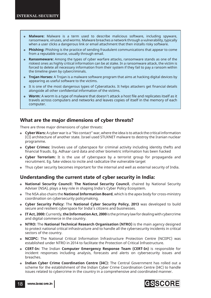- **Malware:** Malware is a term used to describe malicious software, including spyware, ransomware, viruses, and worms. Malware breaches a network through a vulnerability, typically when a user clicks a dangerous link or email attachment that then installs risky software.
- **Phishing:** Phishing is the practice of sending fraudulent communications that appear to come from a reputable source, usually through email.
- **Ransomeware:** Among the types of cyber warfare attacks, ransomware stands as one of the riskiest ones as highly critical information can be at stake. In a ransomware attack, the victim is forced to delete all necessary information from their system if they fail to pay a ransom within the timeline given by cybercriminals.
- **Trojan Horses:** A Trojan is a malware software program that aims at hacking digital devices by appearing as useful software to the victims.
- It is one of the most dangerous types of Cyberattacks. It helps attackers get financial details alongside all other confidential information of the victims.
- **Worm:** A worm is a type of malware that doesn't attack a host file and replicates itself as it travels across computers and networks and leaves copies of itself in the memory of each computer.

## **What are the major dimensions of cyber threats?**

There are three major dimensions of cyber threats:

- **Cyber Wars:** A cyber war is a "No contact" war, where the idea is to attack the critical information (CI) architecture of another state. Israel used STUXNET malware to destroy the Iranian nuclear programme.
- **Cyber Crimes:** Involves use of cyberspace for criminal activity including identity thefts and financial frauds. Eg. Adhaar card data and other biometric information has been hacked
- **Cyber Terrorism:** It is the use of cyberspace by a terrorist group for propaganda and recruitment. Eg. fake videos to incite and radicalize the vulnerable target
- Thus cyber security becomes important for the internal and well as external security of India.

## **Understanding the current state of cyber security in India:**

- **National Security Council: The National Security Council**, chaired by National Security Adviser (NSA), plays a key role in shaping India's Cyber Policy Ecosystem.
- The NSA also chairs the **National Information Board**, which is the apex body for cross-ministry coordination on cybersecurity policymaking.
- **Cyber Security Policy:** The **National Cyber Security Policy, 2013** was developed to build secure and resilient cyberspace for India's citizens and businesses.
- **IT Act, 2000:** Currently, **the Information Act, 2000** is the primary law for dealing with cybercrime and digital commerce in the country.
- **NTRO:** The **National Technical Research Organisation (NTRO)** is the main agency designed to protect national critical infrastructure and to handle all the cybersecurity incidents in critical sectors of the country.
- **NCIIPC:** The National Critical Information Infrastructure Protection Centre (NCIIPC) was established under NTRO in 2014 to facilitate the Protection of Critical Infrastructure.
- **CERT-In:** The Indian **Computer Emergency Response Team (CERT-In)** is responsible for incident responses including analysis, forecasts and alerts on cybersecurity issues and breaches.
- **Indian Cyber Crime Coordination Centre (I4C):** The Central Government has rolled out a scheme for the establishment of the Indian Cyber Crime Coordination Centre (I4C) to handle issues related to cybercrime in the country in a comprehensive and coordinated manner.

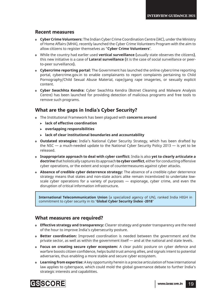## **Recent measures**

- **Cyber Crime Volunteers:** The Indian Cyber Crime Coordination Centre (I4C), under the Ministry of Home Affairs (MHA), recently launched the Cyber Crime Volunteers Program with the aim to allow citizens to register themselves as "**Cyber Crime Volunteers'**.
- While the country had earlier used **vertical surveillance (**usually state observes the citizens**)**, this new initiative is a case of **Lateral surveillance (**it is the case of social surveillance or peerto-peer surveillance**).**
- **Cybercrime reporting portal:** The Government has launched the online cybercrime reporting portal, cybercrime.gov.in to enable complainants to report complaints pertaining to Child Pornography/Child Sexual Abuse Material, rape/gang rape imageries, or sexually explicit content.
- **Cyber Swachhta Kendra:** Cyber Swachhta Kendra (Botnet Cleaning and Malware Analysis Centre) has been launched for providing detection of malicious programs and free tools to remove such programs.

## **What are the gaps in India's Cyber Security?**

- The Institutional Framework has been plagued with **concerns around**
	- ! **lack of effective coordination**
	- ! **overlapping responsibilities**
	- ! **lack of clear institutional boundaries and accountability**
- **Outdated strategies:** India's National Cyber Security Strategy, which has been drafted by the NSC  $-$  a much-needed update to the National Cyber Security Policy 2013  $-$  is yet to be released.
- **<sup>** $\circ$ **</sup> Inappropriate approach to deal with cyber conflict:** India is also yet to clearly articulate a **doctrine** that holistically captures its approach **to cyber conflict**, either for conducting offensive cyber operations, or the extent and scope of countermeasures against cyber attacks.
- **Absence of credible cyber deterrence strategy:** The absence of a credible cyber deterrence strategy means that states and non-state actors alike remain incentivized to undertake lowscale cyber operations for a variety of purposes — espionage, cyber crime, and even the disruption of critical information infrastructure.

**International Telecommunication Union** (a specialized agency of UN), ranked India HIGH in commitment to cyber security in its **'Global Cyber Security Index -2018'**

## **What measures are required?**

- **Effective strategy and transparency:** Clearer strategy and greater transparency are the need of the hour to improve India's cybersecurity posture.
- **Better coordination:** Improved coordination is needed between the government and the private sector, as well as within the government itself — and at the national and state levels.
- **Focus on creating secure cyber ecosystem:** A clear public posture on cyber defence and warfare boosts citizen confidence, helps build trust among allies, and signals intent to potential adversaries, thus enabling a more stable and secure cyber ecosystem.
- **Learning from expertise:** A key opportunity herein is a precise articulation of how international law applies to cyberspace, which could mold the global governance debate to further India's strategic interests and capabilities.

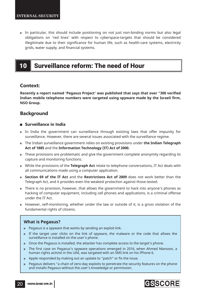In particular, this should include positioning on not just non-binding norms but also legal obligations on 'red lines' with respect to cyberspace-targets that should be considered illegitimate due to their significance for human life, such as health-care systems, electricity grids, water supply, and financial systems.

# 10 Surveillance reform: The need of Hour

## **Context:**

**Recently a report named 'Pegasus Project' was published that says that over "300 verified** Indian mobile telephone numbers were targeted using spyware made by the Israeli firm, **NSO Group.**

## **Background**

## **Surveillance in India**

- In India the government can surveillance through existing laws that offer impunity for surveillance. However, there are several issues associated with the surveillance regime.
- The Indian surveillance government relies on existing provisions under **the Indian Telegraph Act of 1885** and the **Information Technology (IT) Act of 2000.**
- These provisions are problematic and give the government complete anonymity regarding its capture and monitoring functions.
- While the provisions of the **Telegraph Act** relate to telephone conversations, IT Act deals with all communications made using a computer application.
- **Section 69 of the IT Act** and the **Restrictions Act of 2009** does not work better than the Telegraph Act, and it provides even the weakest protection against those tested.
- There is no provision, however, that allows the government to hack into anyone's phones as hacking of computer equipment, including cell phones and applications, is a criminal offense under the IT Act.
- However, self-monitoring, whether under the law or outside of it, is a gross violation of the fundamental rights of citizens.

## **What is Pegasus?**

- Pegasus is a spyware that works by sending an exploit link.
- If the target user clicks on the link of spyware, the malware or the code that allows the surveillance is installed on the user's phone.
- Once the Pegasus is installed, the attacker has complete access to the target's phone.
- The first case on Pegasus's spyware operations emerged in 2016, when Ahmed Mansoor, a human rights activist in the UAE, was targeted with an SMS link on his iPhone 6.
- Apple responded by making out an update to "patch" or fix the issue.
- Pegasus delivers "a chain of zero-day exploits to penetrate the security features on the phone and installs Pegasus without the user's knowledge or permission.

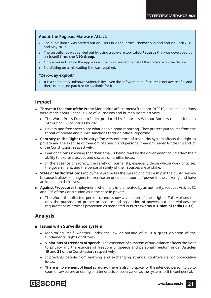## **About the Pegasus Malware Attack**

- The surveillance was carried out on users in 20 countries, "between in and around April 2019 and May 2019".
- The surveillance was carried out by using a spyware tool called **Pegasus** that was developed by an **Israeli firm, the NSO Group.**
- Only a missed call on the app was all that was needed to install the software on the device.
- No clicking on a misleading link was required.

## **"Zero-day exploit"**

 It is a completely unknown vulnerability. Even the software manufacturer is not aware of it, and there is, thus, no patch or fix available for it.

## **Impact**

- **Threat to Freedom of the Press:** Monitoring affects media freedom. In 2019, similar allegations were made about Pegasus' use of journalists and human rights activists.
	- ! The World Press Freedom Index produced by Reporters Without Borders ranked India in 142 out of 180 countries by 2021.
	- $\triangleright$  Privacy and free speech are what enable good reporting. They protect journalists from the threat of private and public sanctions through official reporting.
- **Contrary to the Right to Privacy:** The very existence of a security system affects the right to privacy and the exercise of freedom of speech and personal freedom under Articles 19 and 21 of the Constitution, respectively.
	- $\triangleright$  Fear of citizens knowing that their email is being read by the government could affect their ability to express, accept and discuss unfamiliar ideas.
	- $\triangleright$  In the absence of secrecy, the safety of journalists, especially those whose work criticizes the government, and the personal safety of their sources are at stake.
- **State of Authorization:** Employment promotes the spread of dictatorship in the public service because it allows managers to exercise an unequal amount of power in the citizenry and have an impact on their lives.
- **Against Procedure:** Employment, when fully implemented by an authority, reduces Articles 32 and 226 of the Constitution as is the case in private.
	- $\triangleright$  Therefore, the affected person cannot show a violation of their rights. This violates not only the purposes of proper procedure and separation of powers but also violates the requirement of process protection as mandated in **Puttaswamy v. Union of India (2017).**

## **Analysis**

### **Issues with Surveillance system**

- $\triangleright$  Monitoring itself, whether under the law or outside of it, is a gross violation of the fundamental rights of citizens.
- ! **Violations of freedom of speech:** The existence of a system of surveillance affects the right to privacy and the exercise of freedom of speech and personal freedom under **Articles 19** and **21** of the Constitution, respectively.
- $\triangleright$  It prevents people from learning and exchanging strange, controversial or provocative ideas.
- **There is no element of legal scrutiny:** There is also no space for the intended person to go to court of law before or during or after or acts of observation as the system itself is confidential.

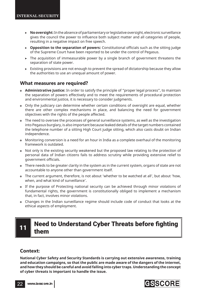- ! **No oversight:** In the absence of parliamentary or legislative oversight, electronic surveillance gives the council the power to influence both subject matter and all categories of people, resulting in a negative impact on free speech.
- **Opposition to the separation of powers:** Constitutional officials such as the sitting judge of the Supreme Court have been reported to be under the control of Pegasus.
- $\triangleright$  The acquisition of immeasurable power by a single branch of government threatens the separation of state power.
- ! Existing provisions are not enough to prevent the spread of dictatorship because they allow the authorities to use an unequal amount of power.

## **What measures are required?**

- **Administrative Justice:** In order to satisfy the principle of "proper legal process", to maintain the separation of powers effectively and to meet the requirements of procedural protection and environmental justice, it is necessary to consider judgments.
- Only the judiciary can determine whether certain conditions of oversight are equal, whether there are other complex mechanisms in place, and balancing the need for government objectives with the rights of the people affected.
- The need to oversee the processes of general surveillance systems, as well as the investigation into Pegasus burglary, is also important because leaked details of the target numbers contained the telephone number of a sitting High Court judge sitting, which also casts doubt on Indian independence.
- Monitoring conversion is a need for an hour in India as a complete overhaul of the monitoring framework is outdated.
- Not only is the existing security weakened but the proposed law relating to the protection of personal data of Indian citizens fails to address scrutiny while providing extensive relief to government officials.
- There needs to be greater clarity in the system as in the current system, organs of state are not accountable to anyone other than government itself.
- The current argument, therefore, is not about 'whether to be watched at all', but about 'how, when, and what kind of surveillance'.
- If the purpose of Protecting national security can be achieved through minor violations of fundamental rights, the government is constitutionally obliged to implement a mechanism that, in fact, involves minor violations.
- Changes in the Indian surveillance regime should include code of conduct that looks at the ethical aspects of employment.

# **Need to Understand Cyber Threats before fighting** them

## **Context:**

**National Cyber Safety and Security Standards is carrying out extensive awareness, training and education campaigns, so that the public are made aware of the dangers of the internet, and how they should be careful and avoid falling into cyber traps. Understanding the concept of cyber threats is important to handle the issue.**



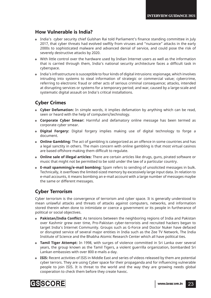## **How Vulnerable is India?**

- o India's cyber security chief Gulshan Rai told Parliament's finance standing committee in July 2017, that cyber threats had evolved swiftly from viruses and "nuisance" attacks in the early 2000s to sophisticated malware and advanced denial of service, and could pose the risk of severely destructive attacks by 2020.
- With little control over the hardware used by Indian Internet users as well as the information that is carried through them, India's national security architecture faces a difficult task in cyberspace.
- India's infrastructure is susceptible to four kinds of digital intrusions: espionage, which involves intruding into systems to steal information of strategic or commercial value; cybercrime, referring to electronic fraud or other acts of serious criminal consequence; attacks, intended at disrupting services or systems for a temporary period; and war, caused by a large-scale and systematic digital assault on India's critical installations.

## **Cyber Crimes**

- **Cyber Defamation:** In simple words, it implies defamation by anything which can be read, seen or heard with the help of computers/technology.
- **Corporate Cyber Smear:** Harmful and defamatory online message has been termed as corporate cyber smear.
- **Digital Forgery:** Digital forgery implies making use of digital technology to forge a document.
- **Online Gambling:** The act of gambling is categorized as an offence in some countries and has a legal sanctity in others. The main concern with online gambling is that most virtual casinos are based offshore making them difficult to regulate.
- **Online sale of illegal articles:** There are certain articles like drugs, guns, pirated software or music that might not be permitted to be sold under the law of a particular country.
- **E-mail spamming/e-mail bombing:** Spam refers to sending of unsolicited messages in bulk. Technically, it overflows the limited-sized memory by excessively large input data. In relation to e-mail accounts, it means bombing an e-mail account with a large number of messages maybe the same or different messages.

## **Cyber Terrorism**

Cyber terrorism is the convergence of terrorism and cyber space. It is generally understood to mean unlawful attacks and threats of attacks against computers, networks, and information stored therein when done to intimidate or coerce a government or its people in furtherance of political or social objectives.

- **Pakistan/India Conflict:** As tensions between the neighboring regions of India and Pakistan over Kashmir grew over time, Pro-Pakistan cyber-terrorists and recruited hackers began to target India's Internet Community. Groups such as G-Force and Doctor Nuker have defaced or disrupted service of several major entities in India such as the Zee TV Network, The India Institute of Science and the Bhabha Atomic Research Center which all have political ties.
- **Tamil Tiger Attempt:** In 1998, with surges of violence committed in Sri Lanka over several years, the group known as the Tamil Tigers, a violent guerrilla organization, bombarded Sri Lankan embassies with over 800 e-mails a day.
- **ISIS:** Recent activities of ISIS in Middle East and series of videos released by them are potential cyber terrors. They are using Cyber space for their propaganda and for influencing vulnerable people to join ISIS. It is threat to the world and the way they are growing needs global cooperation to check them before they create havoc.

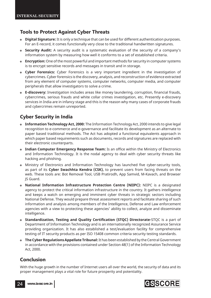## **Tools to Protect Against Cyber Threats**

- **Digital Signature:** It is only a technique that can be used for different authentication purposes. For an E-record, it comes functionally very close to the traditional handwritten signatures.
- **Security Audit:** A security audit is a systematic evaluation of the security of a company's information system by measuring how well it conforms to a set of established criteria.
- **Encryption:** One of the most powerful and important methods for security in computer systems is to encrypt sensitive records and messages in transit and in storage.
- **Cyber Forensics:** Cyber Forensics is a very important ingredient in the investigation of cybercrimes. Cyber forensics is the discovery, analysis, and reconstruction of evidence extracted from any element of computer systems, computer networks, computer media, and computer peripherals that allow investigators to solve a crime.
- **E-discovery:** Investigation includes areas like money laundering, corruption, financial frauds, cybercrimes, serious frauds and white collar crimes investigation, etc. Presently e-discovery services in India are in infancy stage and this is the reason why many cases of corporate frauds and cybercrimes remain unreported.

## **Cyber Security in India**

- **Information Technology Act, 2000:** The Information Technology Act, 2000 intends to give legal recognition to e-commerce and e-governance and facilitate its development as an alternate to paper based traditional methods. The Act has adopted a functional equivalents approach in which paper based requirements such as documents, records and signatures are replaced with their electronic counterparts.
- Indian Computer Emergency Response Team: Is an office within the Ministry of Electronics and Information Technology. It is the nodal agency to deal with cyber security threats like hacking and phishing.
- **Ministry of Electronics and Information Technology has launched five cyber-security tools.** as part of its **Cyber Swachhta Kendra (CSK),** to prevent users from facing threats on the web. These tools are: Bot Removal Tool, USB Pratirodh, App Samvid, M-Kavach, and Browser JS Guard.
- **National Information Infrastructure Protection Centre (NIIPC):** NIIPC is a designated agency to protect the critical information infrastructure in the country. It gathers intelligence and keeps a watch on emerging and imminent cyber threats in strategic sectors including National Defense. They would prepare threat assessment reports and facilitate sharing of such information and analysis among members of the Intelligence, Defense and Law enforcement agencies with a view to protecting these agencies' ability to collect, analyze and disseminate intelligence.
- **6 Standardization, Testing and Quality Certification (STQC) Directorate-STQC** is a part of Department of Information Technology and is an internationally recognized Assurance Service providing organization. It has also established a test/evaluation facility for comprehensive testing of IT security products as per ISO 15408 common criteria security testing standards.
- **The Cyber Regulations Appellate Tribunal:** It has been established by the Central Government in accordance with the provisions contained under Section 48(1) of the Information Technology Act, 2000.

## **Conclusion**

With the huge growth in the number of Internet users all over the world, the security of data and its proper management plays a vital role for future prosperity and potentiality.

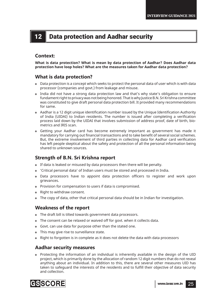# 12 Data protection and Aadhar security

## **Context:**

**What is data protection? What is mean by data protection of Aadhar? Does Aadhar data protection have loop holes? What are the measures taken for Aadhar data protection?**

## **What is data protection?**

- Data protection is a concept which seeks to protect the personal data of user which is with data processor (companies and govt.) from leakage and misuse.
- India did not have a strong data protection law and that's why state's obligation to ensure fundament right to privacy was not being honored. That is why Justice B.N. Sri Krishna committee was constituted to give draft personal data protection bill. It provided many recommendations for same.
- Aadhar is a 12 digit unique identification number issued by the Unique Identification Authority of India (UIDAI) to Indian residents. The number is issued after completing a verification process laid down by the UIDAI that involves submission of address proof, date of birth, biometrics and IRIS scan.
- Getting your Aadhar card has become extremely important as government has made it mandatory for carrying out financial transactions and to take benefit of several social schemes. But, the extreme involvement of third parties in collecting data for Aadhar card verification has left people skeptical about the safety and protection of all the personal information being shared to unknown sources.

## **Strength of B.N. Sri Krishna report**

- If data is leaked or misused by data processors then there will be penalty.
- 'Critical personal data' of Indian users must be stored and processed in India.
- Data processors have to appoint data protection officers to register and work upon grievances.
- Provision for compensation to users if data is compromised.
- Right to withdraw consent.
- The copy of data, other that critical personal data should be in Indian for investigation.

## **Weakness of the report**

- The draft bill is tilted towards government data processors.
- The consent can be relaxed or waived off for govt. when it collects data.
- Govt. can use data for purpose other than the stated one.
- This may give rise to surveillance state.
- Right to forgotten is in complete as it does not delete the data with data processors

## **Aadhar security measures**

 Protecting the information of an individual is inherently available in the design of the UID project, which is primarily done by the allocation of random 12 digit numbers that do not reveal anything about an individual. In addition to this, there are several other measures UID has taken to safeguard the interests of the residents and to fulfill their objective of data security and collection.

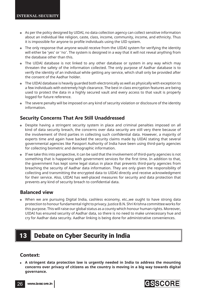- As per the policy designed by UIDAI, no data collection agency can collect sensitive information about an individual like religion, caste, class, income, community, income, and ethnicity. Thus it is impossible for anyone to profile individuals using the UID system.
- The only response that anyone would receive from the UIDAI system for verifying the identity will either be 'yes' or 'no'. The system is designed in a way that it will not reveal anything from the database other than this.
- The UIDAI database is not linked to any other database or system in any way which may threaten the safety of the information collected. The only purpose of Aadhar database is to verify the identity of an individual while getting any service, which shall only be provided after the consent of the Aadhar holder.
- The UIDAI database is heavily guarded both electronically as well as physically with exception to a few individuals with extremely high clearance. The best in class encryption features are being used to protect the data in a highly secured vault and every access to that vault is properly logged for future reference.
- The severe penalty will be imposed on any kind of security violation or disclosure of the identity information.

## **Security Concerns That Are Still Unaddressed**

- Despite having a stringent security system in place and criminal penalties imposed on all kind of data security breach, the concerns over data security are still very there because of the involvement of third parties in collecting such confidential data. However, a majority of experts time and again have backed the security claims made by UIDAI stating that several governmental agencies like Passport Authority of India have been using third-party agencies for collecting biometric and demographic information.
- If we take this into perspective, it can be said that the involvement of third-party agencies is not something that is happening with government services for the first time. In addition to that, the government has kept some legal status in place that prevents third-party agencies from breaching the security of Aadhar data information. They are only given the responsibility of collecting and transmitting the encrypted data to UIDAI directly and receive acknowledgment for their service. Also, UIDAI has well-placed measures for security and data protection that prevents any kind of security breach to confidential data.

## **Balanced view**

 When we are pursuing Digital India, cashless economy, etc.,we ought to have strong data protection to honour fundamental right to privacy. Justice B.N. Shri Krishna committee works for this purpose. This will raise our global status as a county which honour human rights. Moreover, UIDAI has ensured security of Aadhar data, so there is no need to make unnecessary hue and cry for Aadhar data security. Aadhar linking is being done for administrative conveniences.

# **Debate on Cyber Security in India**

## **Context:**

 **A stringent data protection law is urgently needed in India to address the mounting concerns over privacy of citizens as the country is moving in a big way towards digital governance.**

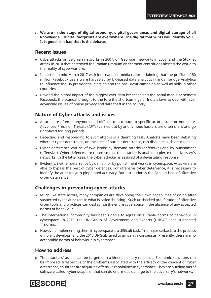**We are in the stage of digital economy, digital governance, and digital storage of all knowledge... Digital footprints are everywhere. The digital footprints will identify you... Is it good, is it bad that is the debate.** 

## **Recent Issues**

- Cyberattacks on Estonian networks in 2007, on Georgian networks in 2008, and the Stuxnet attack in 2010 that destroyed the Iranian uranium enrichment centrifuges alerted the world to the reality of cyberwarfare.
- It started in mid-March 2017 with international media reports claiming that the profiles of 50 million Facebook users were harvested by UK-based data analytics firm Cambridge Analytica to influence the US presidential election and the pro-Brexit campaign as well as polls in other countries.
- Beyond the global impact of the biggest-ever data breaches and the social media behemoth Facebook, the scandal brought to the fore the shortcomings of India's laws to deal with ever advancing issues of online privacy and data theft in the country.

## **Nature of Cyber attacks and issues**

- Attacks are often anonymous and difficult to attribute to specific actors, state or non-state. Advanced Precision Threats (APTs) carried out by anonymous hackers are often silent and go unnoticed for long periods.
- Detecting and responding to such attacks is a daunting task. Analysts have been debating whether cyber deterrence, on the lines of nuclear deterrence, can dissuade such attackers.
- Cyber deterrence can be of two kinds: by denying attacks (defensive) and by punishment (offensive). Cyber defences are raised so that the attacker is unable to pierce the adversary's networks. In the latter case, the cyber attacker is assured of a devastating response.
- Evidently, neither deterrence by denial nor by punishment works in cyberspace. Attackers are able to bypass the best of cyber defences. For offensive cyber deterrence, it is necessary to identify the attacker with pinpointed accuracy. But attribution is the Achilles heel of offensive cyber deterrence.

## **Challenges in preventing cyber attacks**

- Much like state actors, many companies are developing their own capabilities of going after suspected cyber-attackers in what is called 'hunting'. Such unchecked proliferationof offensive cyber tools and practices can destabilise the entire cyberspace in the absence of any accepted norms of behaviour.
- The international community has been unable to agree on suitable norms of behaviour in cyberspace. In 2013, the UN Group of Government and Experts (UNGGE) had suggested 11norms.
- However, implementing them in cyberspace is a difficult task. In a major setback to the process of norms development, the 2015 UNGGE failed to arrive at a consensus. Presently, there are no acceptable norms of behaviour in cyberspace.

## **How to address**

 The attackers' assets can be targeted in a kinetic military response. Economic sanctions can be imposed. Irrespective of the problems associated with the efficacy of the concept of cyber deterrence, countries are acquiring offensive capabilities in cyberspace. They are building bits of software called 'cyberweapons' that can do enormous damage to the adversary's networks.

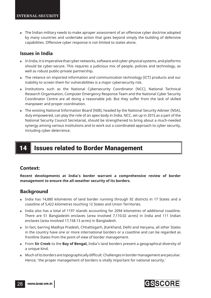The Indian military needs to make aproper assessment of an offensive cyber doctrine adopted by many countries and undertake action that goes beyond simply the building of defensive capabilities. Offensive cyber response is not limited to states alone.

## **Issues in India**

- In India, it is imperative that cyber networks, software and cyber-physical systems, and platforms should be cyber-secure. This requires a judicious mix of people, policies and technology, as well as robust public-private partnership.
- The reliance on imported information and communication technology (ICT) products and our inability to screen them for vulnerabilities is a major cybersecurity risk.
- Institutions such as the National Cybersecurity Coordinator (NCC), National Technical Research Organisation, Computer Emergency Response Team and the National Cyber Security Coordinator Centre are all doing a reasonable job. But they suffer from the lack of skilled manpower and proper coordination.
- The existing National Information Board (NIB), headed by the National Security Adviser (NSA), duly empowered, can play the role of an apex body in India. NCC, set up in 2015 as a part of the National Security Council Secretariat, should be strengthened to bring about a much-needed synergy among various institutions and to work out a coordinated approach to cyber security, including cyber deterrence.

# 14 | Issues related to Border Management

## **Context:**

**Recent developments at India's border warrant a comprehensive review of border management to ensure the all-weather security of its borders.**

## **Background**

- India has 14,880 kilometres of land border running through 92 districts in 17 States and a coastline of 5,422 kilometres touching 12 States and Union Territories.
- India also has a total of 1197 islands accounting for 2094 kilometres of additional coastline. There are 51 Bangladeshi enclaves (area involved 7,110.02 acres) in India and 111 Indian enclaves (area involved 17,158.13 acres) in Bangladesh.
- In fact, barring Madhya Pradesh, Chhattisgarh, Jharkhand, Delhi and Haryana, all other States in the country have one or more international borders or a coastline and can be regarded as frontline States from the point of view of border management.
- From **Sir Creek** to the **Bay of Bengal,** India's land borders present a geographical diversity of a unique kind.
- o Much of its borders are topographically difficult. Challenges in border management are peculiar. Hence, 'the proper management of borders is vitally important for national security.'

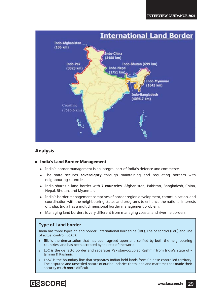

## **Analysis**

## **India's Land Border Management**

- ! India's border management is an integral part of India's defence and commerce.
- ! The state secures **sovereignty** through maintaining and regulating borders with neighbouring countries.
- ! India shares a land border with **7 countries** Afghanistan, Pakistan, Bangladesh, China, Nepal, Bhutan, and Myanmar.
- ! India's border management comprises of border region development, communication, and coordination with the neighbouring states and programs to enhance the national interests of India. India has a multidimensional border management problem.
- $\triangleright$  Managing land borders is very different from managing coastal and riverine borders.

## **Type of Land border**

India has three types of land border: international borderline (IBL), line of control (LoC) and line of actual control (LoAC).

- IBL is the demarcation that has been agreed upon and ratified by both the neighbouring countries, and has been accepted by the rest of the world.
- LoC is the de facto border and separates Pakistan-occupied Kashmir from India's state of Jammu & Kashmir.
- LoAC is the boundary line that separates Indian-held lands from Chinese-controlled territory. The disputed and unsettled nature of our boundaries (both land and maritime) has made their security much more difficult.

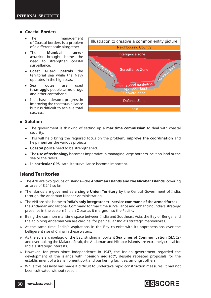## **Coastal Borders**

- > The management of Coastal borders is a problem of a different scale altogether.
- ! The **Mumbai terror attacks** brought home the need to strengthen coastal surveillance.
- ! **Coast Guard patrols** the territorial sea while the Navy operates in the high seas.
- ▶ Sea routes are used to **smuggle** people, arms, drugs and other contraband.
- $\blacktriangleright$  India has made some progress in improving the coast surveillance but it is difficult to achieve total success.



## **Solution**

- ! The government is thinking of setting up a **maritime commission** to deal with coastal security.
- ! This will help bring the required focus on the problem, **improve the coordination** and help **monitor** the various projects.
- **Example 1** Coastal police need to be strengthened.
- ! The **use of technology** becomes imperative in managing large borders, be it on land or the sea or the rivers.
- ! In **particular GPS**, satellite surveillance become important.

## **Island Territories**

- The ANI are two groups of islands—the **Andaman Islands and the Nicobar Islands**, covering an area of 8,249 sq km.
- The islands are governed as **a single Union Territory** by the Central Government of India, through the Andaman Nicobar Administration.
- The ANI are also home to India's **only integrated tri-service command of the armed forces** the Andaman and Nicobar Command for maritime surveillance and enhancing India's strategic presence in the eastern Indian Oceanas it merges into the Pacific.
- Being the common maritime space between India and Southeast Asia, the Bay of Bengal and the adjoining Andaman Sea are cardinal for peninsular India's strategic manoeuvres.
- At the same time, India's aspirations in the Bay co-exist with its apprehensions over the belligerent rise of China in these waters.
- As the sole archipelago of the Bay, striding important **Sea Lines of Communication** (SLOCs) and overlooking the Malacca Strait, the Andaman and Nicobar Islands are extremely critical for India's strategic interests.
- However, for years since independence in 1947, the Indian government regarded the development of the islands with **"benign neglect",** despite repeated proposals for the establishment of a transhipment port and bunkering facilities, amongst others.
- **While this passivity has made it difficult to undertake rapid construction measures, it had not** been cultivated without reason.

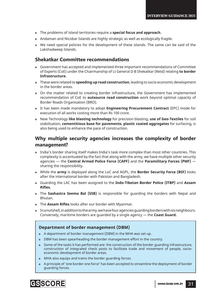- The problems of island territories require a **special focus and approach**.
- Andaman and Nicobar Islands are highly strategic as well as ecologically fragile.
- We need special policies for the development of these islands. The same can be said of the Lakshadweep Islands.

## **Shekatkar Committee recommendations**

- Government has accepted and implemented three important recommendations of Committee of Experts (CoE) under the Chairmanship of Lt General D B Shekatkar (Retd) relating **to border Infrastructure.**
- These were related to **speeding up road construction**, leading to socio economic development in the border areas.
- On the matter related to creating border infrastructure, the Government has implemented recommendation of CoE to **outsource road construction** work beyond optimal capacity of Border Roads Organisation (BRO).
- It has been made mandatory to adopt **Engineering Procurement Contract** (EPC) mode for execution of all works costing more than Rs 100 crore.
- New Technology **like blasting technology** for precision blasting, **use of Geo-Textiles** for soil stabilisation, **cementitious base for pavements**, **plastic coated aggregates** for surfacing, is also being used to enhance the pace of construction.

## **Why multiple security agencies increases the complexity of border management?**

- India's border sharing itself makes India's task more complex than most other countries. This complexity is accentuated by the fact that along with the army, we have multiple other security agencies — the **Central Armed Police Force (CAPF)** and the **Paramilitary Forces (PMF)** sharing the responsibility.
- While the **army** is deployed along the LoC and AGPL, the **Border Security Force (BSF)** looks after the international border with Pakistan and Bangladesh.
- Guarding the LAC has been assigned to the **Indo-Tibetan Border Police (ITBP)** and **Assam Rifl es.**
- The **Sashastra Seema Bal (SSB)** is responsible for guarding the borders with Nepal and Bhutan.
- o The Assam Rifles looks after our border with Myanmar.
- In a nutshell, in addition to the army, we have four agencies guarding borders with six neighbours. Conversely, maritime borders are guarded by a single agency — the **Coast Guard.**

## **Department of border management (DBM)**

- A department of border management (DBM) in the MHA was set up.
- DBM has been spearheading the border management effort in the country.
- Some of the tasks it has performed are: the construction of the border guarding infrastructure, construction of integrated check posts to facilitate trade and movement of people, socioeconomic development of border areas.
- MHA also equips and trains the border guarding forces.
- A principle of 'one border one force' has been accepted to streamline the deployment of border guarding forces.